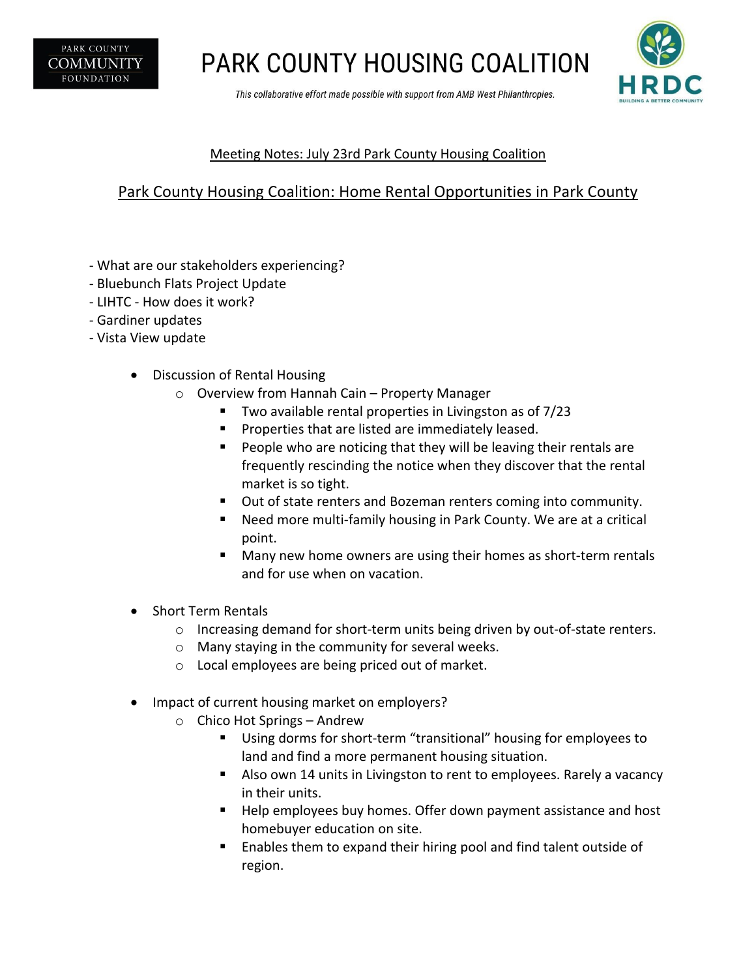

**PARK COUNTY HOUSING COALITION** 

This collaborative effort made possible with support from AMB West Philanthropies.



### Meeting Notes: July 23rd Park County Housing Coalition

### Park County Housing Coalition: Home Rental Opportunities in Park County

- What are our stakeholders experiencing?
- Bluebunch Flats Project Update
- LIHTC How does it work?
- Gardiner updates
- Vista View update
	- Discussion of Rental Housing
		- o Overview from Hannah Cain Property Manager
			- § Two available rental properties in Livingston as of 7/23
			- Properties that are listed are immediately leased.
			- People who are noticing that they will be leaving their rentals are frequently rescinding the notice when they discover that the rental market is so tight.
			- Out of state renters and Bozeman renters coming into community.
			- Need more multi-family housing in Park County. We are at a critical point.
			- Many new home owners are using their homes as short-term rentals and for use when on vacation.
	- Short Term Rentals
		- $\circ$  Increasing demand for short-term units being driven by out-of-state renters.
		- o Many staying in the community for several weeks.
		- o Local employees are being priced out of market.
	- Impact of current housing market on employers?
		- o Chico Hot Springs Andrew
			- Using dorms for short-term "transitional" housing for employees to land and find a more permanent housing situation.
			- Also own 14 units in Livingston to rent to employees. Rarely a vacancy in their units.
			- § Help employees buy homes. Offer down payment assistance and host homebuyer education on site.
			- § Enables them to expand their hiring pool and find talent outside of region.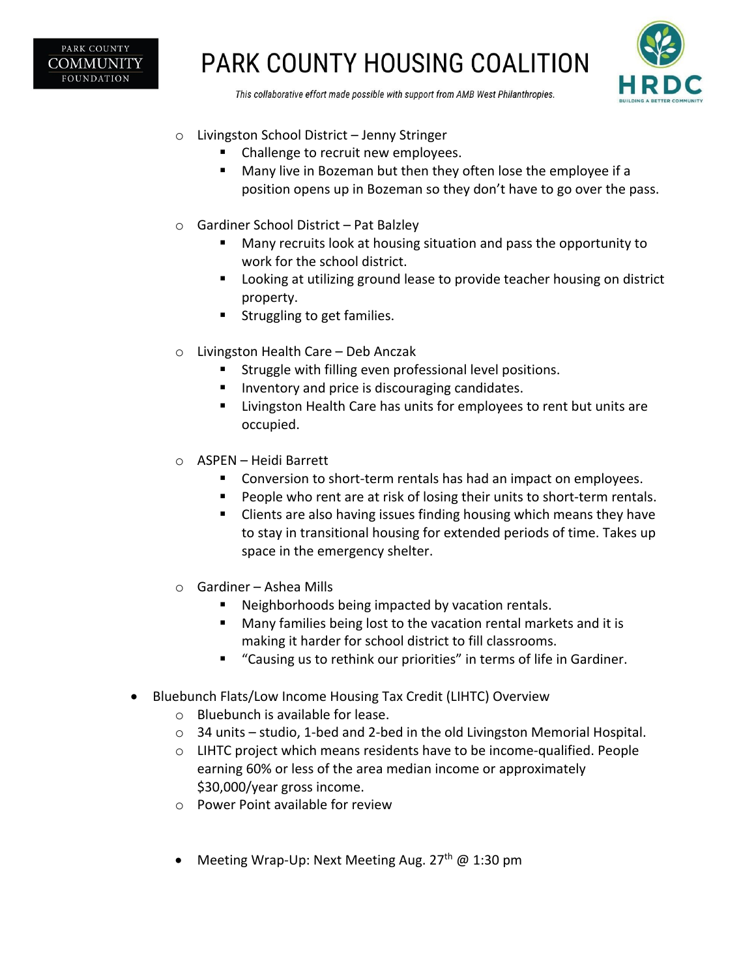

# **PARK COUNTY HOUSING COALITION**



This collaborative effort made possible with support from AMB West Philanthropies.

- o Livingston School District Jenny Stringer
	- § Challenge to recruit new employees.
	- § Many live in Bozeman but then they often lose the employee if a position opens up in Bozeman so they don't have to go over the pass.
- o Gardiner School District Pat Balzley
	- Many recruits look at housing situation and pass the opportunity to work for the school district.
	- Looking at utilizing ground lease to provide teacher housing on district property.
	- Struggling to get families.
- o Livingston Health Care Deb Anczak
	- § Struggle with filling even professional level positions.
	- Inventory and price is discouraging candidates.
	- Livingston Health Care has units for employees to rent but units are occupied.
- o ASPEN Heidi Barrett
	- Conversion to short-term rentals has had an impact on employees.
	- People who rent are at risk of losing their units to short-term rentals.
	- § Clients are also having issues finding housing which means they have to stay in transitional housing for extended periods of time. Takes up space in the emergency shelter.
- o Gardiner Ashea Mills
	- Neighborhoods being impacted by vacation rentals.
	- Many families being lost to the vacation rental markets and it is making it harder for school district to fill classrooms.
	- "Causing us to rethink our priorities" in terms of life in Gardiner.
- Bluebunch Flats/Low Income Housing Tax Credit (LIHTC) Overview
	- o Bluebunch is available for lease.
	- o 34 units studio, 1-bed and 2-bed in the old Livingston Memorial Hospital.
	- $\circ$  LIHTC project which means residents have to be income-qualified. People earning 60% or less of the area median income or approximately \$30,000/year gross income.
	- o Power Point available for review
	- Meeting Wrap-Up: Next Meeting Aug.  $27<sup>th</sup>$  @ 1:30 pm